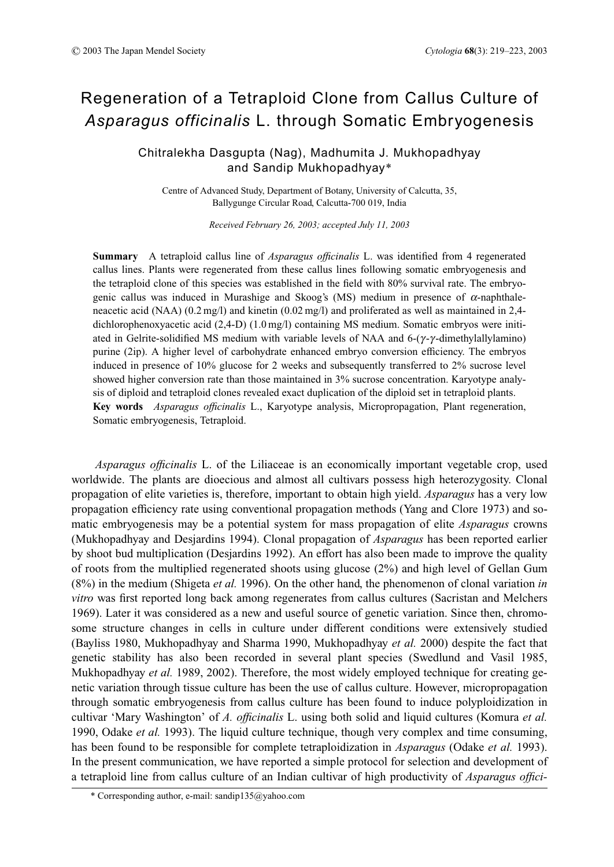# Regeneration of a Tetraploid Clone from Callus Culture of *Asparagus officinalis* L. through Somatic Embryogenesis

# Chitralekha Dasgupta (Nag), Madhumita J. Mukhopadhyay and Sandip Mukhopadhyay\*

Centre of Advanced Study, Department of Botany, University of Calcutta, 35, Ballygunge Circular Road, Calcutta-700 019, India

*Received February 26, 2003; accepted July 11, 2003*

**Summary** A tetraploid callus line of *Asparagus officinalis* L. was identified from 4 regenerated callus lines. Plants were regenerated from these callus lines following somatic embryogenesis and the tetraploid clone of this species was established in the field with 80% survival rate. The embryogenic callus was induced in Murashige and Skoog's (MS) medium in presence of  $\alpha$ -naphthaleneacetic acid (NAA) (0.2 mg/l) and kinetin (0.02 mg/l) and proliferated as well as maintained in 2,4 dichlorophenoxyacetic acid (2,4-D) (1.0 mg/l) containing MS medium. Somatic embryos were initiated in Gelrite-solidified MS medium with variable levels of NAA and  $6-(\gamma-\gamma-\text{dimethylallylamino})$ purine (2ip). A higher level of carbohydrate enhanced embryo conversion efficiency. The embryos induced in presence of 10% glucose for 2 weeks and subsequently transferred to 2% sucrose level showed higher conversion rate than those maintained in 3% sucrose concentration. Karyotype analysis of diploid and tetraploid clones revealed exact duplication of the diploid set in tetraploid plants. **Key words** *Asparagus officinalis* L., Karyotype analysis, Micropropagation, Plant regeneration, Somatic embryogenesis, Tetraploid.

*Asparagus officinalis* L. of the Liliaceae is an economically important vegetable crop, used worldwide. The plants are dioecious and almost all cultivars possess high heterozygosity. Clonal propagation of elite varieties is, therefore, important to obtain high yield. *Asparagus* has a very low propagation efficiency rate using conventional propagation methods (Yang and Clore 1973) and somatic embryogenesis may be a potential system for mass propagation of elite *Asparagus* crowns (Mukhopadhyay and Desjardins 1994). Clonal propagation of *Asparagus* has been reported earlier by shoot bud multiplication (Desjardins 1992). An effort has also been made to improve the quality of roots from the multiplied regenerated shoots using glucose (2%) and high level of Gellan Gum (8%) in the medium (Shigeta *et al.* 1996). On the other hand, the phenomenon of clonal variation *in vitro* was first reported long back among regenerates from callus cultures (Sacristan and Melchers 1969). Later it was considered as a new and useful source of genetic variation. Since then, chromosome structure changes in cells in culture under different conditions were extensively studied (Bayliss 1980, Mukhopadhyay and Sharma 1990, Mukhopadhyay *et al.* 2000) despite the fact that genetic stability has also been recorded in several plant species (Swedlund and Vasil 1985, Mukhopadhyay *et al.* 1989, 2002). Therefore, the most widely employed technique for creating genetic variation through tissue culture has been the use of callus culture. However, micropropagation through somatic embryogenesis from callus culture has been found to induce polyploidization in cultivar 'Mary Washington' of *A. officinalis* L. using both solid and liquid cultures (Komura *et al.* 1990, Odake *et al.* 1993). The liquid culture technique, though very complex and time consuming, has been found to be responsible for complete tetraploidization in *Asparagus* (Odake *et al.* 1993). In the present communication, we have reported a simple protocol for selection and development of a tetraploid line from callus culture of an Indian cultivar of high productivity of *Asparagus offici-*

<sup>\*</sup> Corresponding author, e-mail: sandip135@yahoo.com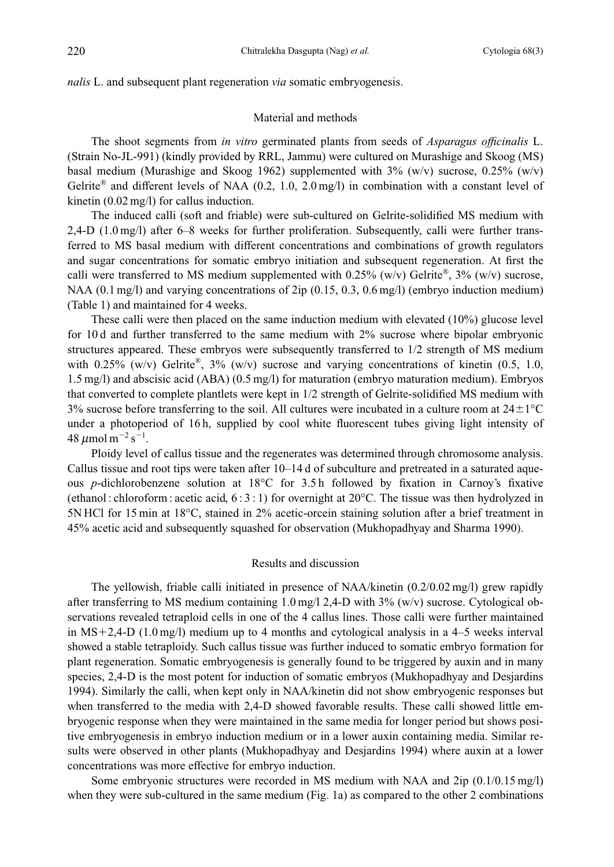*nalis* L. and subsequent plant regeneration *via* somatic embryogenesis.

#### Material and methods

The shoot segments from *in vitro* germinated plants from seeds of *Asparagus officinalis* L. (Strain No-JL-991) (kindly provided by RRL, Jammu) were cultured on Murashige and Skoog (MS) basal medium (Murashige and Skoog 1962) supplemented with  $3\%$  (w/v) sucrose, 0.25% (w/v) Gelrite<sup>®</sup> and different levels of NAA (0.2, 1.0, 2.0 mg/l) in combination with a constant level of kinetin (0.02 mg/l) for callus induction.

The induced calli (soft and friable) were sub-cultured on Gelrite-solidified MS medium with 2,4-D (1.0 mg/l) after 6–8 weeks for further proliferation. Subsequently, calli were further transferred to MS basal medium with different concentrations and combinations of growth regulators and sugar concentrations for somatic embryo initiation and subsequent regeneration. At first the calli were transferred to MS medium supplemented with 0.25% (w/v) Gelrite<sup>®</sup>, 3% (w/v) sucrose, NAA (0.1 mg/l) and varying concentrations of 2ip (0.15, 0.3, 0.6 mg/l) (embryo induction medium) (Table 1) and maintained for 4 weeks.

These calli were then placed on the same induction medium with elevated (10%) glucose level for 10 d and further transferred to the same medium with 2% sucrose where bipolar embryonic structures appeared. These embryos were subsequently transferred to 1/2 strength of MS medium with 0.25% (w/v) Gelrite<sup>®</sup>, 3% (w/v) sucrose and varying concentrations of kinetin (0.5, 1.0, 1.5 mg/l) and abscisic acid (ABA) (0.5 mg/l) for maturation (embryo maturation medium). Embryos that converted to complete plantlets were kept in 1/2 strength of Gelrite-solidified MS medium with  $3\%$  sucrose before transferring to the soil. All cultures were incubated in a culture room at  $24\pm1\,^{\circ}\mathrm{C}$ under a photoperiod of 16 h, supplied by cool white fluorescent tubes giving light intensity of 48  $\mu$ mol m $^{-2}$  s $^{-1}$ .

Ploidy level of callus tissue and the regenerates was determined through chromosome analysis. Callus tissue and root tips were taken after 10–14 d of subculture and pretreated in a saturated aqueous *p*-dichlorobenzene solution at 18°C for 3.5 h followed by fixation in Carnoy's fixative (ethanol : chloroform : acetic acid,  $6:3:1$ ) for overnight at  $20^{\circ}$ C. The tissue was then hydrolyzed in 5N HCl for 15 min at 18°C, stained in 2% acetic-orcein staining solution after a brief treatment in 45% acetic acid and subsequently squashed for observation (Mukhopadhyay and Sharma 1990).

## Results and discussion

The yellowish, friable calli initiated in presence of NAA/kinetin (0.2/0.02 mg/l) grew rapidly after transferring to MS medium containing 1.0 mg/l 2,4-D with 3% (w/v) sucrose. Cytological observations revealed tetraploid cells in one of the 4 callus lines. Those calli were further maintained in MS+2,4-D (1.0 mg/l) medium up to 4 months and cytological analysis in a  $4-5$  weeks interval showed a stable tetraploidy. Such callus tissue was further induced to somatic embryo formation for plant regeneration. Somatic embryogenesis is generally found to be triggered by auxin and in many species, 2,4-D is the most potent for induction of somatic embryos (Mukhopadhyay and Desjardins 1994). Similarly the calli, when kept only in NAA/kinetin did not show embryogenic responses but when transferred to the media with 2,4-D showed favorable results. These calli showed little embryogenic response when they were maintained in the same media for longer period but shows positive embryogenesis in embryo induction medium or in a lower auxin containing media. Similar results were observed in other plants (Mukhopadhyay and Desjardins 1994) where auxin at a lower concentrations was more effective for embryo induction.

Some embryonic structures were recorded in MS medium with NAA and 2ip (0.1/0.15 mg/l) when they were sub-cultured in the same medium (Fig. 1a) as compared to the other 2 combinations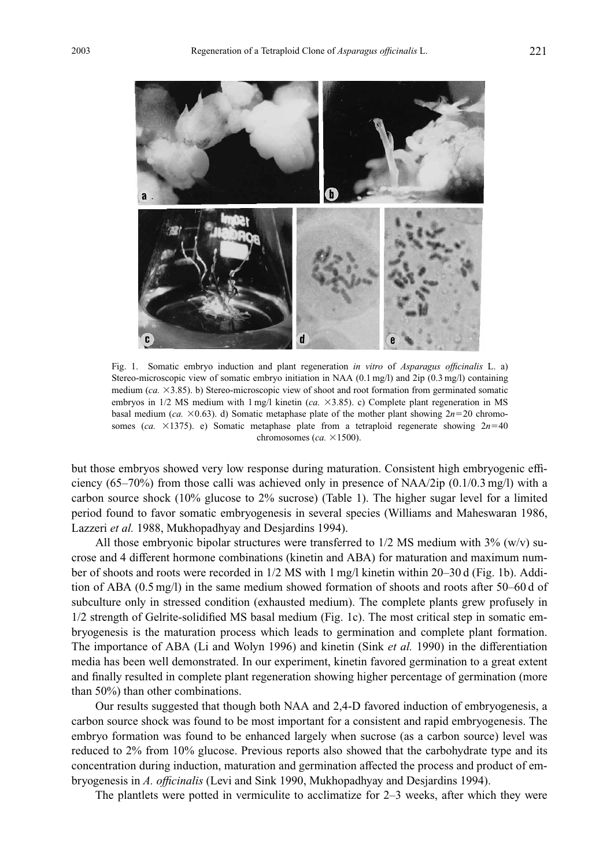

Fig. 1. Somatic embryo induction and plant regeneration *in vitro* of *Asparagus officinalis* L. a) Stereo-microscopic view of somatic embryo initiation in NAA (0.1 mg/l) and 2ip (0.3 mg/l) containing medium (*ca.*  $\times$ 3.85). b) Stereo-microscopic view of shoot and root formation from germinated somatic embryos in 1/2 MS medium with 1 mg/l kinetin (*ca.*  $\times$ 3.85). c) Complete plant regeneration in MS basal medium (*ca.*  $\times$ 0.63). d) Somatic metaphase plate of the mother plant showing  $2n=20$  chromosomes ( $ca. \times 1375$ ). e) Somatic metaphase plate from a tetraploid regenerate showing  $2n=40$ chromosomes ( $ca. \times 1500$ ).

but those embryos showed very low response during maturation. Consistent high embryogenic efficiency (65–70%) from those calli was achieved only in presence of NAA/2ip (0.1/0.3 mg/l) with a carbon source shock (10% glucose to 2% sucrose) (Table 1). The higher sugar level for a limited period found to favor somatic embryogenesis in several species (Williams and Maheswaran 1986, Lazzeri *et al.* 1988, Mukhopadhyay and Desjardins 1994).

All those embryonic bipolar structures were transferred to  $1/2$  MS medium with  $3\%$  (w/v) sucrose and 4 different hormone combinations (kinetin and ABA) for maturation and maximum number of shoots and roots were recorded in 1/2 MS with 1 mg/l kinetin within 20–30 d (Fig. 1b). Addition of ABA (0.5 mg/l) in the same medium showed formation of shoots and roots after 50–60 d of subculture only in stressed condition (exhausted medium). The complete plants grew profusely in 1/2 strength of Gelrite-solidified MS basal medium (Fig. 1c). The most critical step in somatic embryogenesis is the maturation process which leads to germination and complete plant formation. The importance of ABA (Li and Wolyn 1996) and kinetin (Sink *et al.* 1990) in the differentiation media has been well demonstrated. In our experiment, kinetin favored germination to a great extent and finally resulted in complete plant regeneration showing higher percentage of germination (more than 50%) than other combinations.

Our results suggested that though both NAA and 2,4-D favored induction of embryogenesis, a carbon source shock was found to be most important for a consistent and rapid embryogenesis. The embryo formation was found to be enhanced largely when sucrose (as a carbon source) level was reduced to 2% from 10% glucose. Previous reports also showed that the carbohydrate type and its concentration during induction, maturation and germination affected the process and product of embryogenesis in *A. officinalis* (Levi and Sink 1990, Mukhopadhyay and Desjardins 1994).

The plantlets were potted in vermiculite to acclimatize for 2–3 weeks, after which they were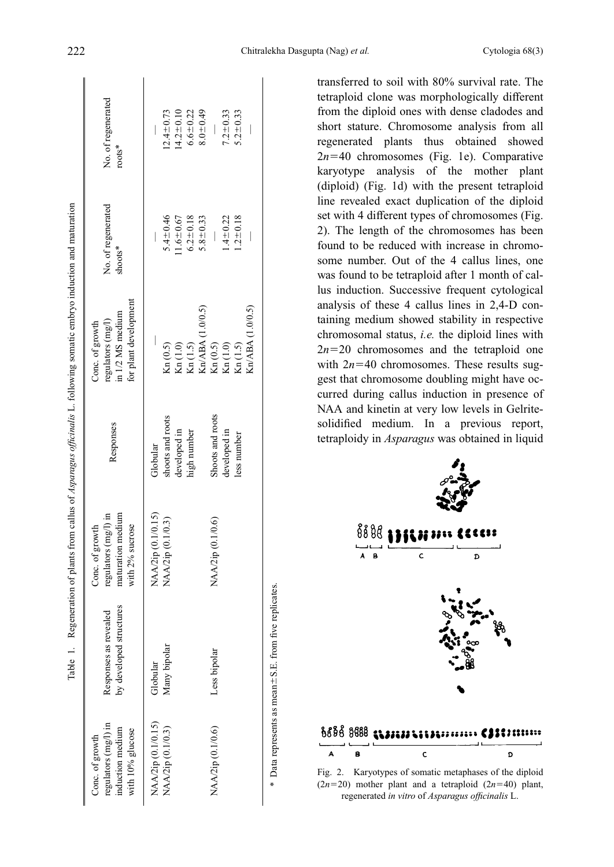| regulators (mg/l) in<br>nduction medium<br>with 10% glucose<br>Conc. of growth | by developed structures<br>Responses as revealed | maturation medium<br>regulators $(mg)$ in<br>Conc. of growth<br>with 2% sucrose | Responses        | for plant development<br>in 1/2 MS medium<br>regulators (mg/l)<br>Conc. of growth | No. of regenerated<br>shoots* | No. of regenerated<br>$roots*$ |
|--------------------------------------------------------------------------------|--------------------------------------------------|---------------------------------------------------------------------------------|------------------|-----------------------------------------------------------------------------------|-------------------------------|--------------------------------|
| NAA/2ip (0.1/0.15)                                                             | Globular                                         | NAA/2ip (0.1/0.15)                                                              | Globular         |                                                                                   |                               |                                |
| NAA/2ip (0.1/0.3)                                                              | Many bipolar                                     | NAA/2ip (0.1/0.3)                                                               | shoots and roots | Kn (0.5)                                                                          | 5.4 $\pm$ 0.46                | $12.4 \pm 0.73$                |
|                                                                                |                                                  |                                                                                 | developed in     | $\mbox{Kn}\left(1.0\right)$                                                       | $1.6 - 0.67$                  | $(4.2 + 0.10)$                 |
|                                                                                |                                                  |                                                                                 | high number      | Kn(1.5)                                                                           | $6.2 \pm 0.18$                | $6.6 \pm 0.22$                 |
|                                                                                |                                                  |                                                                                 |                  | Kn/ABA (1.0/0.5)                                                                  | $5.8 \pm 0.33$                | $8.0 + 0.49$                   |
| NAA/2ip (0.1/0.6)                                                              | Less bipolar                                     | NAA/2ip (0.1/0.6)                                                               | Shoots and roots | $\mathrm{Kn}\left(0.5\right)$                                                     |                               |                                |
|                                                                                |                                                  |                                                                                 | developed in     | $\mathrm{Kn}\left(1.0\right)$                                                     | $1.4 \pm 0.22$                | $7.2 \pm 0.33$                 |
|                                                                                |                                                  |                                                                                 | ess number       | Kn(1.5)                                                                           | $1.2 \pm 0.18$                | $5.2 \pm 0.33$                 |
|                                                                                |                                                  |                                                                                 |                  | Kn/ABA (1.0/0.5)                                                                  |                               |                                |

\* Data represents as mean

6S.E. from five replicates.

Data represents as mean ± S.E. from five replicates

transferred to soil with 80% survival rate. The tetraploid clone was morphologically different from the diploid ones with dense cladodes and short stature. Chromosome analysis from all regenerated plants thus obtained showed  $2n=40$  chromosomes (Fig. 1e). Comparative karyotype analysis of the mother plant (diploid) (Fig. 1d) with the present tetraploid line revealed exact duplication of the diploid set with 4 different types of chromosomes (Fig. 2). The length of the chromosomes has been found to be reduced with increase in chromosome number. Out of the 4 callus lines, one was found to be tetraploid after 1 month of callus induction. Successive frequent cytological analysis of these 4 callus lines in 2,4-D containing medium showed stability in respective chromosomal status, *i.e.* the diploid lines with  $2n=20$  chromosomes and the tetraploid one with  $2n=40$  chromosomes. These results suggest that chromosome doubling might have occurred during callus induction in presence of NAA and kinetin at very low levels in Gelritesolidified medium. In a previous report, tetraploidy in *Asparagus* was obtained in liquid



Fig. 2. Karyotypes of somatic metaphases of the diploid  $(2n=20)$  mother plant and a tetraploid  $(2n=40)$  plant, regenerated *in vitro* of *Asparagus officinalis* L.

F. II

ċ

Ŀ. È